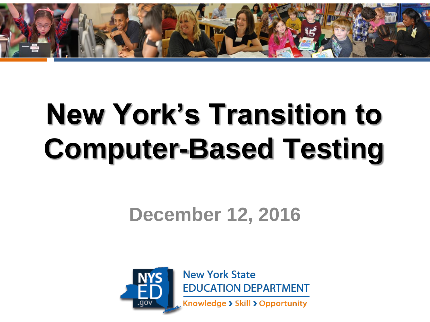

# **New York's Transition to Computer-Based Testing**

#### **December 12, 2016**



**New York State EDUCATION DEPARTMENT** 

Knowledge > Skill > Opportunity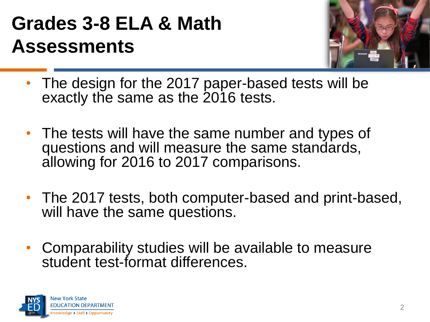## **Grades 3-8 ELA & Math Assessments**



- The design for the 2017 paper-based tests will be exactly the same as the 2016 tests.
- The tests will have the same number and types of questions and will measure the same standards, allowing for 2016 to 2017 comparisons.
- The 2017 tests, both computer-based and print-based, will have the same questions.
- Comparability studies will be available to measure student test-format differences.

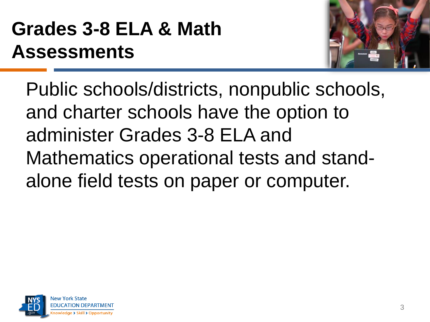## **Grades 3-8 ELA & Math Assessments**



Public schools/districts, nonpublic schools, and charter schools have the option to administer Grades 3-8 ELA and Mathematics operational tests and standalone field tests on paper or computer.

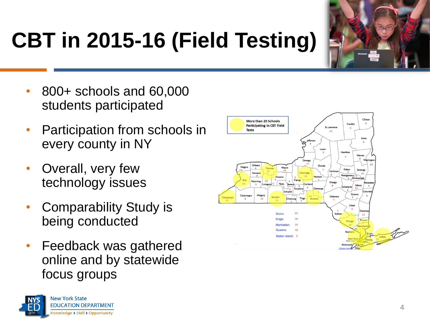

# **CBT in 2015-16 (Field Testing)**

- 800+ schools and 60,000 students participated
- Participation from schools in every county in NY
- Overall, very few technology issues
- Comparability Study is being conducted
- Feedback was gathered online and by statewide focus groups



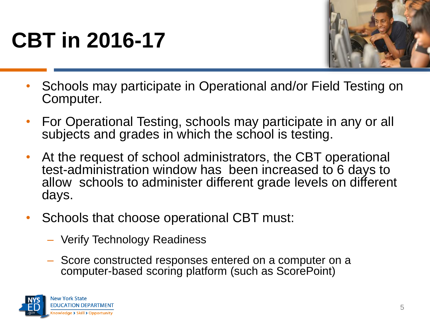# **CBT in 2016-17**



- Schools may participate in Operational and/or Field Testing on Computer.
- For Operational Testing, schools may participate in any or all subjects and grades in which the school is testing.
- At the request of school administrators, the CBT operational test-administration window has been increased to 6 days to allow schools to administer different grade levels on different days.
- Schools that choose operational CBT must:
	- Verify Technology Readiness
	- Score constructed responses entered on a computer on a computer-based scoring platform (such as ScorePoint)

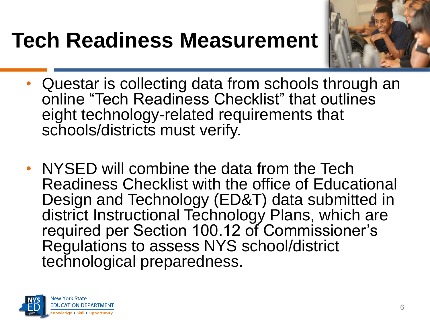## **Tech Readiness Measurement**



- Questar is collecting data from schools through an online "Tech Readiness Checklist" that outlines eight technology-related requirements that schools/districts must verify.
- NYSED will combine the data from the Tech Readiness Checklist with the office of Educational Design and Technology (ED&T) data submitted in district Instructional Technology Plans, which are required per Section 100.12 of Commissioner's Regulations to assess NYS school/district technological preparedness.

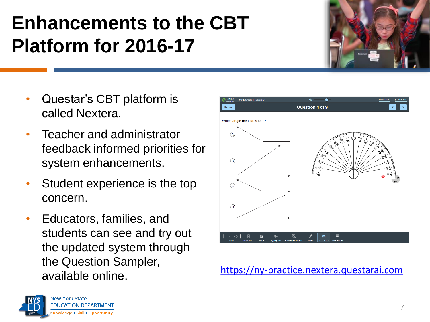## **Enhancements to the CBT Platform for 2016-17**

- Questar's CBT platform is called Nextera.
- Teacher and administrator feedback informed priorities for system enhancements.
- Student experience is the top concern.
- Educators, families, and students can see and try out the updated system through the Question Sampler, available online.



[https://ny-practice.nextera.questarai.com](https://ny-practice.nextera.questarai.com/)

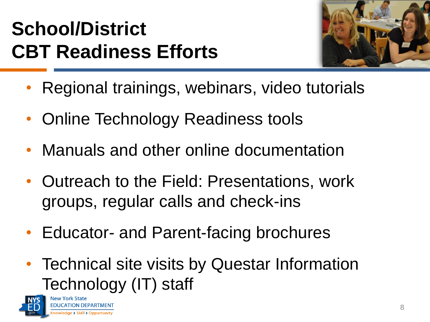## **School/District CBT Readiness Efforts**



- Regional trainings, webinars, video tutorials
- Online Technology Readiness tools
- Manuals and other online documentation
- Outreach to the Field: Presentations, work groups, regular calls and check-ins
- Educator- and Parent-facing brochures
- Technical site visits by Questar Information Technology (IT) staff

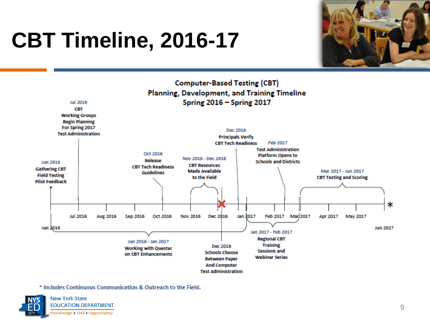# **CBT Timeline, 2016-17**





\* Includes Continuous Communication & Outreach to the Field.